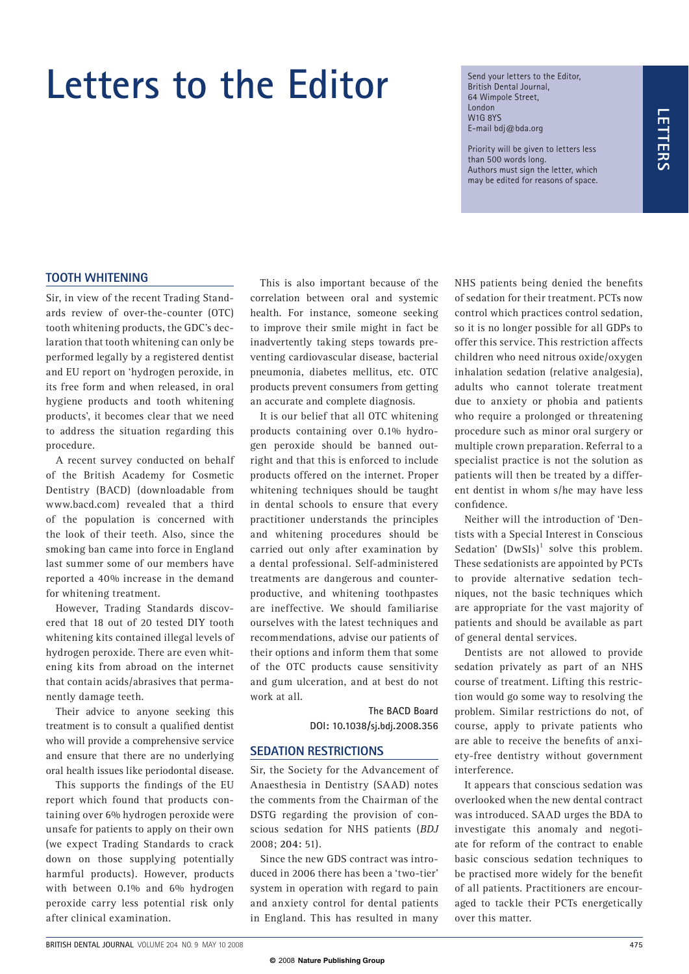# **Letters to the Editor**

Send your letters to the Editor, British Dental Journal, 64 Wimpole Street, London W1G 8YS E-mail bdj@bda.org

Priority will be given to letters less than 500 words long. Authors must sign the letter, which may be edited for reasons of space.

### **TOOTH WHITENING**

Sir, in view of the recent Trading Standards review of over-the-counter (OTC) tooth whitening products, the GDC's declaration that tooth whitening can only be performed legally by a registered dentist and EU report on 'hydrogen peroxide, in its free form and when released, in oral hygiene products and tooth whitening products', it becomes clear that we need to address the situation regarding this procedure.

A recent survey conducted on behalf of the British Academy for Cosmetic Dentistry (BACD) (downloadable from www.bacd.com) revealed that a third of the population is concerned with the look of their teeth. Also, since the smoking ban came into force in England last summer some of our members have reported a 40% increase in the demand for whitening treatment.

However, Trading Standards discovered that 18 out of 20 tested DIY tooth whitening kits contained illegal levels of hydrogen peroxide. There are even whitening kits from abroad on the internet that contain acids/abrasives that permanently damage teeth.

Their advice to anyone seeking this treatment is to consult a qualified dentist who will provide a comprehensive service and ensure that there are no underlying oral health issues like periodontal disease.

This supports the findings of the EU report which found that products containing over 6% hydrogen peroxide were unsafe for patients to apply on their own (we expect Trading Standards to crack down on those supplying potentially harmful products). However, products with between 0.1% and 6% hydrogen peroxide carry less potential risk only after clinical examination.

This is also important because of the correlation between oral and systemic health. For instance, someone seeking to improve their smile might in fact be inadvertently taking steps towards preventing cardiovascular disease, bacterial pneumonia, diabetes mellitus, etc. OTC products prevent consumers from getting an accurate and complete diagnosis.

It is our belief that all OTC whitening products containing over 0.1% hydrogen peroxide should be banned outright and that this is enforced to include products offered on the internet. Proper whitening techniques should be taught in dental schools to ensure that every practitioner understands the principles and whitening procedures should be carried out only after examination by a dental professional. Self-administered treatments are dangerous and counterproductive, and whitening toothpastes are ineffective. We should familiarise ourselves with the latest techniques and recommendations, advise our patients of their options and inform them that some of the OTC products cause sensitivity and gum ulceration, and at best do not work at all.

> **The BACD Board DOI: 10.1038/sj.bdj.2008.356**

#### **SEDATION RESTRICTIONS**

Sir, the Society for the Advancement of Anaesthesia in Dentistry (SAAD) notes the comments from the Chairman of the DSTG regarding the provision of conscious sedation for NHS patients (*BDJ*  2008; **204:** 51).

Since the new GDS contract was introduced in 2006 there has been a 'two-tier' system in operation with regard to pain and anxiety control for dental patients in England. This has resulted in many

NHS patients being denied the benefits of sedation for their treatment. PCTs now control which practices control sedation, so it is no longer possible for all GDPs to offer this service. This restriction affects children who need nitrous oxide/oxygen inhalation sedation (relative analgesia), adults who cannot tolerate treatment due to anxiety or phobia and patients who require a prolonged or threatening procedure such as minor oral surgery or multiple crown preparation. Referral to a specialist practice is not the solution as patients will then be treated by a different dentist in whom s/he may have less confidence.

Neither will the introduction of 'Dentists with a Special Interest in Conscious Sedation'  $(DwSIs)^1$  solve this problem. These sedationists are appointed by PCTs to provide alternative sedation techniques, not the basic techniques which are appropriate for the vast majority of patients and should be available as part of general dental services.

Dentists are not allowed to provide sedation privately as part of an NHS course of treatment. Lifting this restriction would go some way to resolving the problem. Similar restrictions do not, of course, apply to private patients who are able to receive the benefits of anxiety-free dentistry without government interference.

It appears that conscious sedation was overlooked when the new dental contract was introduced. SAAD urges the BDA to investigate this anomaly and negotiate for reform of the contract to enable basic conscious sedation techniques to be practised more widely for the benefit of all patients. Practitioners are encouraged to tackle their PCTs energetically over this matter.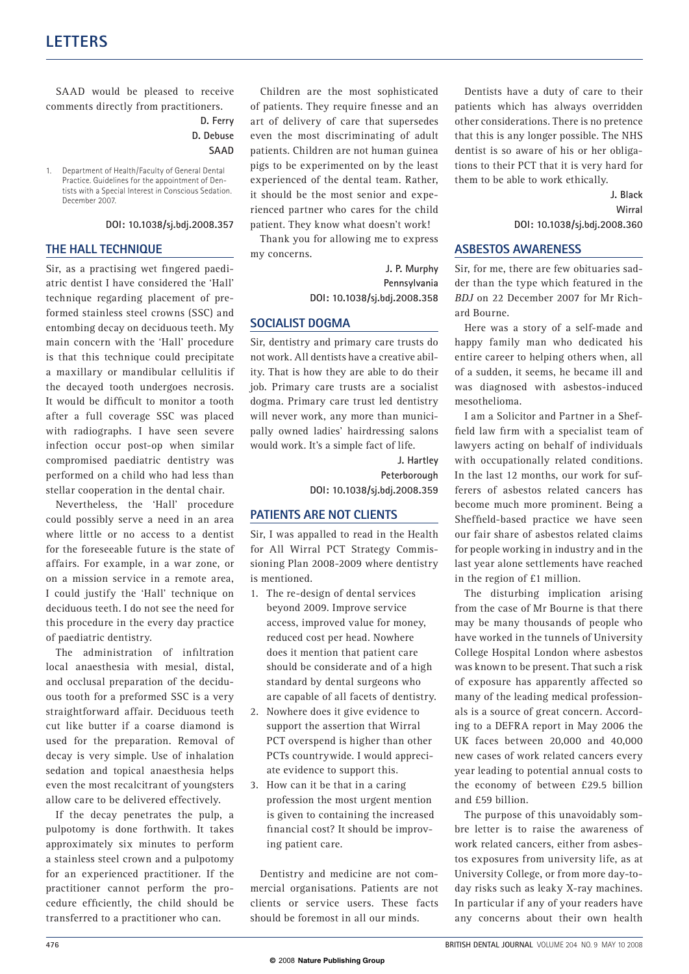1. Department of Health/Faculty of General Dental Practice. Guidelines for the appointment of Dentists with a Special Interest in Conscious Sedation. December 2007.

#### **DOI: 10.1038/sj.bdj.2008.357**

#### **THE HALL TECHNIQUE**

Sir, as a practising wet fingered paediatric dentist I have considered the 'Hall' technique regarding placement of preformed stainless steel crowns (SSC) and entombing decay on deciduous teeth. My main concern with the 'Hall' procedure is that this technique could precipitate a maxillary or mandibular cellulitis if the decayed tooth undergoes necrosis. It would be difficult to monitor a tooth after a full coverage SSC was placed with radiographs. I have seen severe infection occur post-op when similar compromised paediatric dentistry was performed on a child who had less than stellar cooperation in the dental chair.

Nevertheless, the 'Hall' procedure could possibly serve a need in an area where little or no access to a dentist for the foreseeable future is the state of affairs. For example, in a war zone, or on a mission service in a remote area, I could justify the 'Hall' technique on deciduous teeth. I do not see the need for this procedure in the every day practice of paediatric dentistry.

The administration of infiltration local anaesthesia with mesial, distal, and occlusal preparation of the deciduous tooth for a preformed SSC is a very straightforward affair. Deciduous teeth cut like butter if a coarse diamond is used for the preparation. Removal of decay is very simple. Use of inhalation sedation and topical anaesthesia helps even the most recalcitrant of youngsters allow care to be delivered effectively.

If the decay penetrates the pulp, a pulpotomy is done forthwith. It takes approximately six minutes to perform a stainless steel crown and a pulpotomy for an experienced practitioner. If the practitioner cannot perform the procedure efficiently, the child should be transferred to a practitioner who can.

SAAD would be pleased to receive Children are the most sophisticated Dentists have a duty of care to their comments directly from practitioners. of patients. They require finesse and an patients which has always overridden art of delivery of care that supersedes even the most discriminating of adult patients. Children are not human guinea pigs to be experimented on by the least experienced of the dental team. Rather, it should be the most senior and experienced partner who cares for the child patient. They know what doesn't work!

> Thank you for allowing me to express my concerns.

> > **J. P. Murphy Pennsylvania DOI: 10.1038/sj.bdj.2008.358**

#### **SOCIALIST DOGMA**

Sir, dentistry and primary care trusts do not work. All dentists have a creative ability. That is how they are able to do their job. Primary care trusts are a socialist dogma. Primary care trust led dentistry will never work, any more than municipally owned ladies' hairdressing salons would work. It's a simple fact of life.

> **J. Hartley Peterborough DOI: 10.1038/sj.bdj.2008.359**

#### **PATIENTS ARE NOT CLIENTS**

Sir, I was appalled to read in the Health for All Wirral PCT Strategy Commissioning Plan 2008-2009 where dentistry is mentioned.

- 1. The re-design of dental services beyond 2009. Improve service access, improved value for money, reduced cost per head. Nowhere does it mention that patient care should be considerate and of a high standard by dental surgeons who are capable of all facets of dentistry.
- 2. Nowhere does it give evidence to support the assertion that Wirral PCT overspend is higher than other PCTs countrywide. I would appreciate evidence to support this.
- 3. How can it be that in a caring profession the most urgent mention is given to containing the increased financial cost? It should be improving patient care.

Dentistry and medicine are not commercial organisations. Patients are not clients or service users. These facts should be foremost in all our minds.

other considerations. There is no pretence that this is any longer possible. The NHS dentist is so aware of his or her obligations to their PCT that it is very hard for them to be able to work ethically.

> **J. Black Wirral DOI: 10.1038/sj.bdj.2008.360**

#### **ASBESTOS AWARENESS**

Sir, for me, there are few obituaries sadder than the type which featured in the *BDJ* on 22 December 2007 for Mr Richard Bourne.

Here was a story of a self-made and happy family man who dedicated his entire career to helping others when, all of a sudden, it seems, he became ill and was diagnosed with asbestos-induced mesothelioma.

I am a Solicitor and Partner in a Sheffield law firm with a specialist team of lawyers acting on behalf of individuals with occupationally related conditions. In the last 12 months, our work for sufferers of asbestos related cancers has become much more prominent. Being a Sheffield-based practice we have seen our fair share of asbestos related claims for people working in industry and in the last year alone settlements have reached in the region of £1 million.

The disturbing implication arising from the case of Mr Bourne is that there may be many thousands of people who have worked in the tunnels of University College Hospital London where asbestos was known to be present. That such a risk of exposure has apparently affected so many of the leading medical professionals is a source of great concern. According to a DEFRA report in May 2006 the UK faces between 20,000 and 40,000 new cases of work related cancers every year leading to potential annual costs to the economy of between £29.5 billion and £59 billion.

The purpose of this unavoidably sombre letter is to raise the awareness of work related cancers, either from asbestos exposures from university life, as at University College, or from more day-today risks such as leaky X-ray machines. In particular if any of your readers have any concerns about their own health

**D. Ferry D. Debuse SAAD**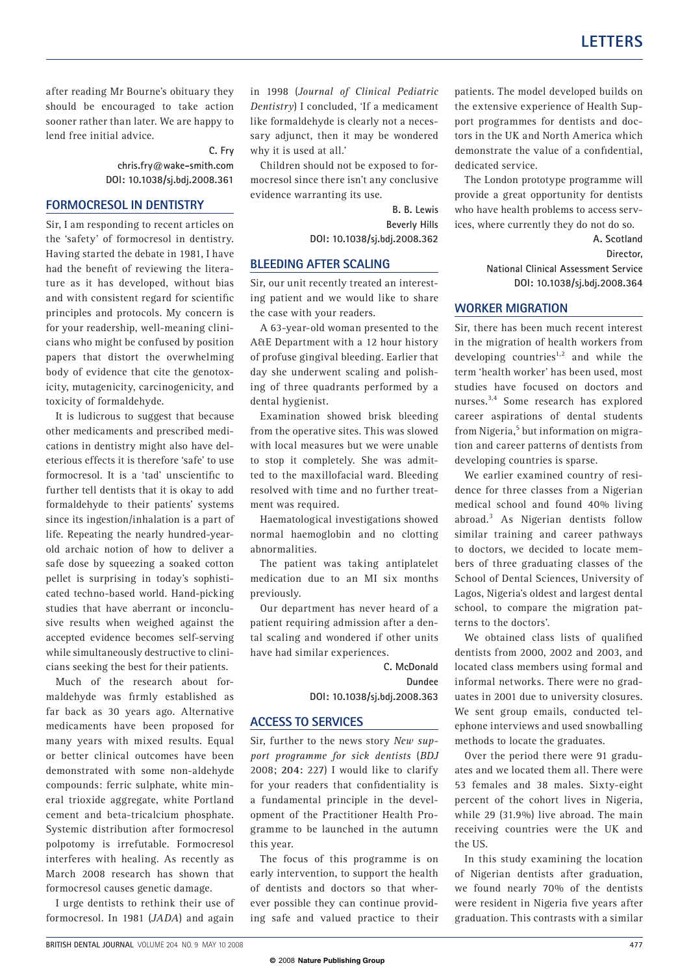after reading Mr Bourne's obituary they in 1998 (*Journal of Clinical Pediatric* patients. The model developed builds on sooner rather than later. We are happy to lend free initial advice.

**C. Fry chris.fry@wake-smith.com DOI: 10.1038/sj.bdj.2008.361** 

#### **FORMOCRESOL IN DENTISTRY**

Sir, I am responding to recent articles on the 'safety' of formocresol in dentistry. Having started the debate in 1981, I have had the benefit of reviewing the literature as it has developed, without bias and with consistent regard for scientific principles and protocols. My concern is for your readership, well-meaning clinicians who might be confused by position papers that distort the overwhelming body of evidence that cite the genotoxicity, mutagenicity, carcinogenicity, and toxicity of formaldehyde.

It is ludicrous to suggest that because other medicaments and prescribed medications in dentistry might also have deleterious effects it is therefore 'safe' to use formocresol. It is a 'tad' unscientific to further tell dentists that it is okay to add formaldehyde to their patients' systems since its ingestion/inhalation is a part of life. Repeating the nearly hundred-yearold archaic notion of how to deliver a safe dose by squeezing a soaked cotton pellet is surprising in today's sophisticated techno-based world. Hand-picking studies that have aberrant or inconclusive results when weighed against the accepted evidence becomes self-serving while simultaneously destructive to clinicians seeking the best for their patients.

Much of the research about formaldehyde was firmly established as far back as 30 years ago. Alternative medicaments have been proposed for many years with mixed results. Equal or better clinical outcomes have been demonstrated with some non-aldehyde compounds: ferric sulphate, white mineral trioxide aggregate, white Portland cement and beta-tricalcium phosphate. Systemic distribution after formocresol polpotomy is irrefutable. Formocresol interferes with healing. As recently as March 2008 research has shown that formocresol causes genetic damage.

I urge dentists to rethink their use of formocresol. In 1981 (*JADA*) and again

should be encouraged to take action *Dentistry*) I concluded, 'If a medicament the extensive experience of Health Suplike formaldehyde is clearly not a necessary adjunct, then it may be wondered why it is used at all.'

> Children should not be exposed to formocresol since there isn't any conclusive evidence warranting its use.

> > **B. B. Lewis Beverly Hills DOI: 10.1038/sj.bdj.2008.362**

#### **BLEEDING AFTER SCALING**

Sir, our unit recently treated an interesting patient and we would like to share the case with your readers.

A 63-year-old woman presented to the A&E Department with a 12 hour history of profuse gingival bleeding. Earlier that day she underwent scaling and polishing of three quadrants performed by a dental hygienist.

Examination showed brisk bleeding from the operative sites. This was slowed with local measures but we were unable to stop it completely. She was admitted to the maxillofacial ward. Bleeding resolved with time and no further treatment was required.

Haematological investigations showed normal haemoglobin and no clotting abnormalities.

The patient was taking antiplatelet medication due to an MI six months previously.

Our department has never heard of a patient requiring admission after a dental scaling and wondered if other units have had similar experiences.

> **C. McDonald Dundee**

**DOI: 10.1038/sj.bdj.2008.363** 

#### **ACCESS TO SERVICES**

Sir, further to the news story *New support programme for sick dentists* (*BDJ*  2008; **204:** 227) I would like to clarify for your readers that confidentiality is a fundamental principle in the development of the Practitioner Health Programme to be launched in the autumn this year.

The focus of this programme is on early intervention, to support the health of dentists and doctors so that wherever possible they can continue providing safe and valued practice to their

port programmes for dentists and doctors in the UK and North America which demonstrate the value of a confidential. dedicated service.

The London prototype programme will provide a great opportunity for dentists who have health problems to access services, where currently they do not do so.

> **A. Scotland Director, National Clinical Assessment Service DOI: 10.1038/sj.bdj.2008.364**

#### **WORKER MIGRATION**

Sir, there has been much recent interest in the migration of health workers from developing countries<sup>1,2</sup> and while the term 'health worker' has been used, most studies have focused on doctors and nurses.3,4 Some research has explored career aspirations of dental students from Nigeria,<sup>5</sup> but information on migration and career patterns of dentists from developing countries is sparse.

We earlier examined country of residence for three classes from a Nigerian medical school and found 40% living abroad.<sup>3</sup> As Nigerian dentists follow similar training and career pathways to doctors, we decided to locate members of three graduating classes of the School of Dental Sciences, University of Lagos, Nigeria's oldest and largest dental school, to compare the migration patterns to the doctors'.

We obtained class lists of qualified dentists from 2000, 2002 and 2003, and located class members using formal and informal networks. There were no graduates in 2001 due to university closures. We sent group emails, conducted telephone interviews and used snowballing methods to locate the graduates.

Over the period there were 91 graduates and we located them all. There were 53 females and 38 males. Sixty-eight percent of the cohort lives in Nigeria, while 29 (31.9%) live abroad. The main receiving countries were the UK and the US.

In this study examining the location of Nigerian dentists after graduation, we found nearly 70% of the dentists were resident in Nigeria five years after graduation. This contrasts with a similar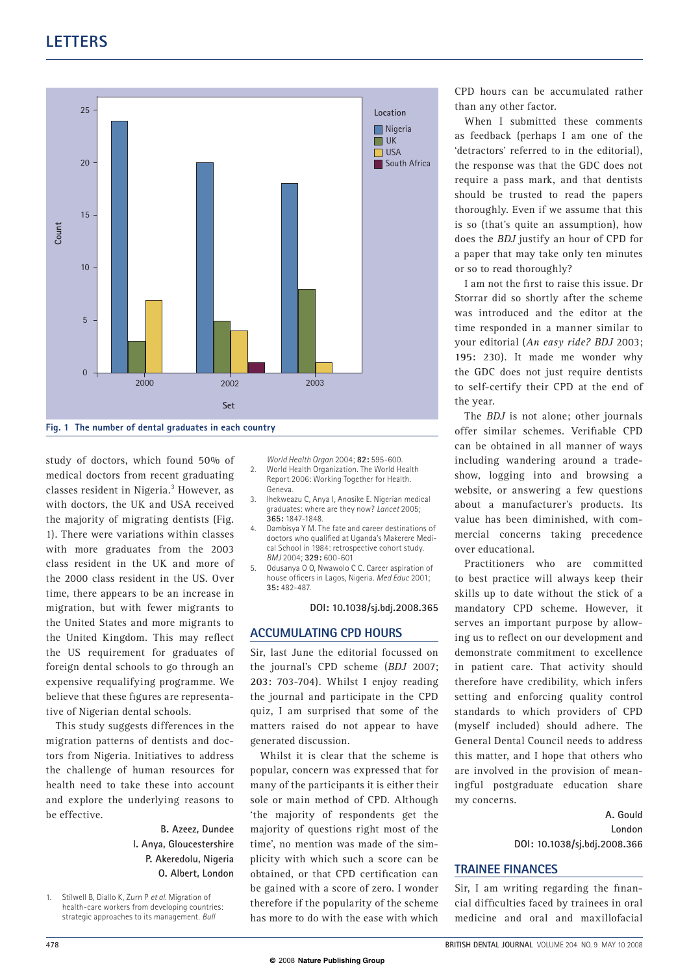## **LETTERS**



study of doctors, which found 50% of medical doctors from recent graduating classes resident in Nigeria.<sup>3</sup> However, as with doctors, the UK and USA received the majority of migrating dentists (Fig. 1). There were variations within classes with more graduates from the 2003 class resident in the UK and more of the 2000 class resident in the US. Over time, there appears to be an increase in migration, but with fewer migrants to the United States and more migrants to the United Kingdom. This may reflect the US requirement for graduates of foreign dental schools to go through an expensive requalifying programme. We believe that these figures are representative of Nigerian dental schools.

This study suggests differences in the migration patterns of dentists and doctors from Nigeria. Initiatives to address the challenge of human resources for health need to take these into account and explore the underlying reasons to be effective.

> **B. Azeez, Dundee I. Anya, Gloucestershire P. Akeredolu, Nigeria O. Albert, London**

1. Stilwell B, Diallo K, Zurn P *et al.* Migration of health-care workers from developing countries: strategic approaches to its management. *Bull* 

*World Health Organ* 2004; **82:** 595-600.

- 2. World Health Organization. The World Health Report 2006: Working Together for Health. Geneva.
- 3. Ihekweazu C, Anya I, Anosike E. Nigerian medical graduates: where are they now? *Lancet* 2005; **365:** 1847-1848.
- 4. Dambisya Y M. The fate and career destinations of doctors who qualified at Uganda's Makerere Medical School in 1984: retrospective cohort study. *BMJ* 2004; **329:** 600-601
- 5. Odusanya O O, Nwawolo C C. Career aspiration of house officers in Lagos, Nigeria. *Med Educ* 2001; **35:** 482-487.

**DOI: 10.1038/sj.bdj.2008.365** 

#### **ACCUMULATING CPD HOURS**

Sir, last June the editorial focussed on the journal's CPD scheme (*BDJ* 2007; **203:** 703-704). Whilst I enjoy reading the journal and participate in the CPD quiz, I am surprised that some of the matters raised do not appear to have generated discussion.

Whilst it is clear that the scheme is popular, concern was expressed that for many of the participants it is either their sole or main method of CPD. Although 'the majority of respondents get the majority of questions right most of the time', no mention was made of the simplicity with which such a score can be obtained, or that CPD certification can be gained with a score of zero. I wonder therefore if the popularity of the scheme has more to do with the ease with which

CPD hours can be accumulated rather than any other factor.

When I submitted these comments as feedback (perhaps I am one of the 'detractors' referred to in the editorial), the response was that the GDC does not require a pass mark, and that dentists should be trusted to read the papers thoroughly. Even if we assume that this is so (that's quite an assumption), how does the *BDJ* justify an hour of CPD for a paper that may take only ten minutes or so to read thoroughly?

I am not the first to raise this issue. Dr Storrar did so shortly after the scheme was introduced and the editor at the time responded in a manner similar to your editorial (*An easy ride? BDJ* 2003; **195:** 230). It made me wonder why the GDC does not just require dentists to self-certify their CPD at the end of the year.

The *BDJ* is not alone; other journals offer similar schemes. Verifiable CPD can be obtained in all manner of ways including wandering around a tradeshow, logging into and browsing a website, or answering a few questions about a manufacturer's products. Its value has been diminished, with commercial concerns taking precedence over educational.

Practitioners who are committed to best practice will always keep their skills up to date without the stick of a mandatory CPD scheme. However, it serves an important purpose by allowing us to reflect on our development and demonstrate commitment to excellence in patient care. That activity should therefore have credibility, which infers setting and enforcing quality control standards to which providers of CPD (myself included) should adhere. The General Dental Council needs to address this matter, and I hope that others who are involved in the provision of meaningful postgraduate education share my concerns.

> **A. Gould London DOI: 10.1038/sj.bdj.2008.366**

### **TRAINEE FINANCES**

Sir, I am writing regarding the financial difficulties faced by trainees in oral medicine and oral and maxillofacial